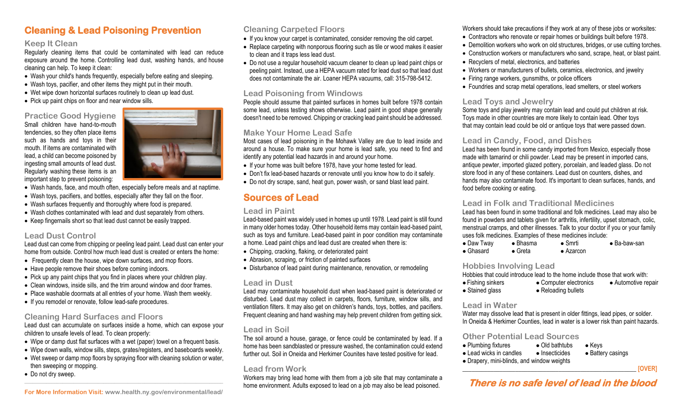# **Cleaning & Lead Poisoning Prevention**

### **Keep It Clean**

Regularly cleaning items that could be contaminated with lead can reduce exposure around the home. Controlling lead dust, washing hands, and house cleaning can help. To keep it clean:

- Wash your child's hands frequently, especially before eating and sleeping.
- Wash toys, pacifier, and other items they might put in their mouth.
- Wet wipe down horizontal surfaces routinely to clean up lead dust.
- Pick up paint chips on floor and near window sills.

## **Practice Good Hygiene**

Small children have hand-to-mouth tendencies, so they often place items such as hands and toys in their mouth. If items are contaminated with lead, a child can become poisoned by ingesting small amounts of lead dust. Regularly washing these items is an important step to prevent poisoning:



- Wash hands, face, and mouth often, especially before meals and at naptime.
- Wash toys, pacifiers, and bottles, especially after they fall on the floor.
- Wash surfaces frequently and thoroughly where food is prepared.
- Wash clothes contaminated with lead and dust separately from others.
- Keep fingernails short so that lead dust cannot be easily trapped.

#### **Lead Dust Control**

Lead dust can come from chipping or peeling lead paint. Lead dust can enter your home from outside. Control how much lead dust is created or enters the home:

- Frequently clean the house, wipe down surfaces, and mop floors.
- Have people remove their shoes before coming indoors.
- Pick up any paint chips that you find in places where your children play.
- Clean windows, inside sills, and the trim around window and door frames.
- Place washable doormats at all entries of your home. Wash them weekly.
- If you remodel or renovate, follo[w lead-safe procedures.](http://dhhs.ne.gov/publichealth/Pages/LeadRenovation.aspx)

## **Cleaning Hard Surfaces and Floors**

Lead dust can accumulate on surfaces inside a home, which can expose your children to unsafe levels of lead. To clean properly:

- Wipe or damp dust flat surfaces with a wet (paper) towel on a frequent basis.
- Wipe down walls, window sills, steps, grates/registers, and baseboards weekly.
- Wet sweep or damp mop floors by spraying floor with cleaning solution or water, then sweeping or mopping.
- Do not dry sweep. **\_\_\_\_\_\_\_\_\_\_\_\_\_\_\_\_\_\_\_\_\_\_\_\_\_\_\_\_\_\_\_\_\_\_\_\_\_\_\_\_\_\_\_\_\_\_\_\_\_\_\_\_\_\_\_\_\_\_\_\_\_\_\_\_\_\_\_\_\_\_\_\_\_**

## **Cleaning Carpeted Floors**

- If you know your carpet is contaminated, consider removing the old carpet.
- Replace carpeting with nonporous flooring such as tile or wood makes it easier to clean and it traps less lead dust.
- Do not use a regular household vacuum cleaner to clean up lead paint chips or peeling paint. Instead, use a HEPA vacuum rated for lead dust so that lead dust does not contaminate the air. Loaner HEPA vacuums, call: 315-798-5412.

## **Lead Poisoning from Windows**

People should assume that painted surfaces in homes built before 1978 contain some lead, unless testing shows otherwise. Lead paint in good shape generally doesn't need to be removed. Chipping or cracking lead paint should be addressed.

## **Make Your Home Lead Safe**

Most cases of lead poisoning in the Mohawk Valley are due to lead inside and around a house. To make sure your home is lead safe, you need to find and identify any potential lead hazards in and around your home.

- If your home was built before 1978, have your home tested for lead.
- Don't fix lead-based hazards or renovate until you know how to do it safely.
- Do not dry scrape, sand, heat gun, power wash, or sand blast lead paint.

# **Sources of Lead**

## **Lead in Paint**

Lead-based paint was widely used in homes up until 1978. Lead paint is still found in many older homes today. Other household items may contain lead-based paint, such as toys and furniture. Lead-based paint in poor condition may contaminate a home. Lead paint chips and lead dust are created when there is:

- Chipping, cracking, flaking, or deteriorated paint
- Abrasion, scraping, or friction of painted surfaces
- Disturbance of lead paint during maintenance, renovation, or remodeling

## **Lead in Dust**

Lead may contaminate household dust when lead-based paint is deteriorated or disturbed. Lead dust may collect in carpets, floors, furniture, window sills, and ventilation filters. It may also get on children's hands, toys, bottles, and pacifiers. Frequent cleaning and hand washing may help prevent children from getting sick.

## **Lead in Soil**

The soil around a house, garage, or fence could be contaminated by lead. If a home has been sandblasted or pressure washed, the contamination could extend further out. Soil in Oneida and Herkimer Counites have tested positive for lead.

## **Lead from Work**

Workers may bring lead home with them from a job site that may contaminate a home environment. Adults exposed to lead on a job may also be lead poisoned.

Workers should take precautions if they work at any of these jobs or worksites:

- Contractors who renovate or repair homes or buildings built before 1978.
- Demolition workers who work on old structures, bridges, or use cutting torches.
- Construction workers or manufacturers who sand, scrape, heat, or blast paint.
- Recyclers of metal, electronics, and batteries
- Workers or manufacturers of bullets, ceramics, electronics, and jewelry
- Firing range workers, gunsmiths, or police officers
- Foundries and scrap metal operations, lead smelters, or steel workers

## **Lead Toys and Jewelry**

Some toys and play jewelry may contain lead and could put children at risk. Toys made in other countries are more likely to contain lead. Other toys that may contain lead could be old or antique toys that were passed down.

## **Lead in Candy, Food, and Dishes**

Lead has been found in some candy imported from Mexico, especially those made with tamarind or chili powder. Lead may be present in imported cans, antique pewter, imported glazed pottery, porcelain, and leaded glass. Do not store food in any of these containers. Lead dust on counters, dishes, and hands may also contaminate food. It's important to clean surfaces, hands, and food before cooking or eating.

## **Lead in Folk and Traditional Medicines**

Lead has been found in some traditional and folk medicines. Lead may also be found in powders and tablets given for arthritis, infertility, upset stomach, colic, menstrual cramps, and other illnesses. Talk to your doctor if you or your family uses folk medicines. Examples of these medicines include:

| $\bullet$ Daw Tway | $\bullet$ Bhasma | $\bullet$ Smrti   | $\bullet$ Ba-baw-san |
|--------------------|------------------|-------------------|----------------------|
| $\bullet$ Ghasard  | $\bullet$ Greta  | $\bullet$ Azarcon |                      |

### **Hobbies Involving Lead**

| Hobbies that could introduce lead to the home include those that work with: |                        |                     |
|-----------------------------------------------------------------------------|------------------------|---------------------|
| $\bullet$ Fishing sinkers                                                   | • Computer electronics | • Automotive repair |
| • Stained glass                                                             | • Reloading bullets    |                     |

### **Lead in Water**

Water may dissolve lead that is present in older fittings, lead pipes, or solder. In Oneida & Herkimer Counties, lead in water is a lower risk than paint hazards.

### **Other Potential Lead Sources**

- Plumbing fixtures Old bathtubs Keys
- Lead wicks in candles Insecticides Battery casings Drapery, mini-blinds, and window weights
- \_\_\_\_\_\_\_\_\_\_\_\_\_\_\_\_\_\_\_\_\_\_\_\_\_\_\_\_\_\_\_\_\_\_\_\_\_\_\_\_\_\_\_\_\_\_\_\_\_\_\_\_\_\_\_\_ **[OVER]**

# **There is no safe level of lead in the blood**

**For More Information Visit[: www.health.ny.gov/environmental/lead/](http://www.health.ny.gov/environmental/lead/)**